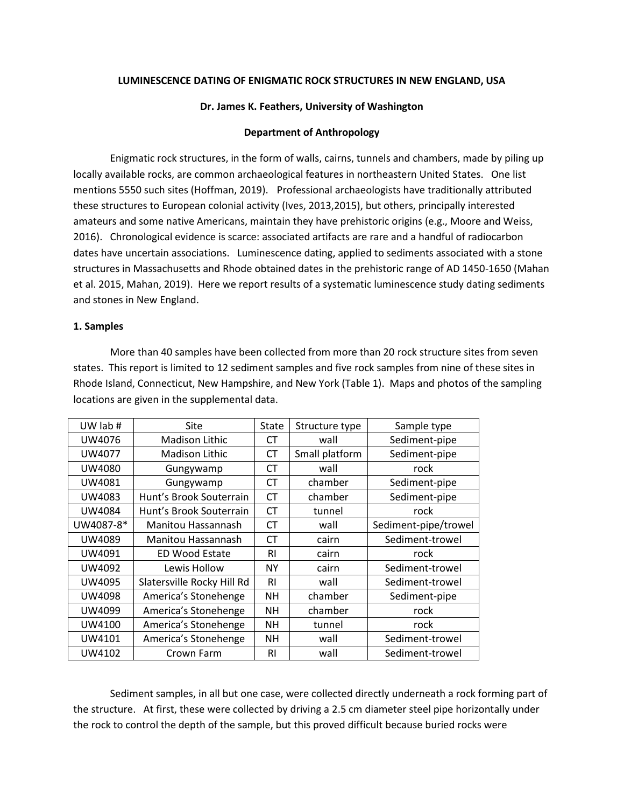# **LUMINESCENCE DATING OF ENIGMATIC ROCK STRUCTURES IN NEW ENGLAND, USA**

# **Dr. James K. Feathers, University of Washington**

## **Department of Anthropology**

Enigmatic rock structures, in the form of walls, cairns, tunnels and chambers, made by piling up locally available rocks, are common archaeological features in northeastern United States. One list mentions 5550 such sites (Hoffman, 2019). Professional archaeologists have traditionally attributed these structures to European colonial activity (Ives, 2013,2015), but others, principally interested amateurs and some native Americans, maintain they have prehistoric origins (e.g., Moore and Weiss, 2016). Chronological evidence is scarce: associated artifacts are rare and a handful of radiocarbon dates have uncertain associations. Luminescence dating, applied to sediments associated with a stone structures in Massachusetts and Rhode obtained dates in the prehistoric range of AD 1450-1650 (Mahan et al. 2015, Mahan, 2019). Here we report results of a systematic luminescence study dating sediments and stones in New England.

## **1. Samples**

More than 40 samples have been collected from more than 20 rock structure sites from seven states. This report is limited to 12 sediment samples and five rock samples from nine of these sites in Rhode Island, Connecticut, New Hampshire, and New York (Table 1). Maps and photos of the sampling locations are given in the supplemental data.

| UW lab #      | Site                       | State          | Structure type | Sample type          |
|---------------|----------------------------|----------------|----------------|----------------------|
| UW4076        | <b>Madison Lithic</b>      | СT             | wall           | Sediment-pipe        |
| UW4077        | <b>Madison Lithic</b>      | <b>CT</b>      | Small platform | Sediment-pipe        |
| UW4080        | Gungywamp                  | CT.            | wall           | rock                 |
| UW4081        | Gungywamp                  | <b>CT</b>      | chamber        | Sediment-pipe        |
| <b>UW4083</b> | Hunt's Brook Souterrain    | <b>CT</b>      | chamber        | Sediment-pipe        |
| <b>UW4084</b> | Hunt's Brook Souterrain    | <b>CT</b>      | tunnel         | rock                 |
| UW4087-8*     | Manitou Hassannash         | <b>CT</b>      | wall           | Sediment-pipe/trowel |
| UW4089        | Manitou Hassannash         | CT.            | cairn          | Sediment-trowel      |
| UW4091        | <b>ED Wood Estate</b>      | <b>RI</b>      | cairn          | rock                 |
| UW4092        | Lewis Hollow               | <b>NY</b>      | cairn          | Sediment-trowel      |
| UW4095        | Slatersville Rocky Hill Rd | R <sub>1</sub> | wall           | Sediment-trowel      |
| UW4098        | America's Stonehenge       | NΗ             | chamber        | Sediment-pipe        |
| UW4099        | America's Stonehenge       | <b>NH</b>      | chamber        | rock                 |
| UW4100        | America's Stonehenge       | <b>NH</b>      | tunnel         | rock                 |
| UW4101        | America's Stonehenge       | NΗ             | wall           | Sediment-trowel      |
| UW4102        | Crown Farm                 | <b>RI</b>      | wall           | Sediment-trowel      |

Sediment samples, in all but one case, were collected directly underneath a rock forming part of the structure. At first, these were collected by driving a 2.5 cm diameter steel pipe horizontally under the rock to control the depth of the sample, but this proved difficult because buried rocks were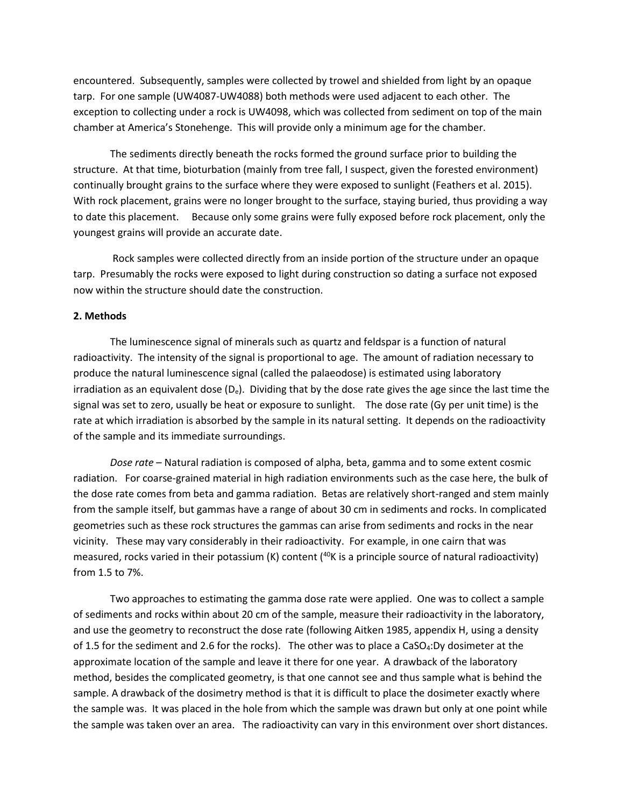encountered. Subsequently, samples were collected by trowel and shielded from light by an opaque tarp. For one sample (UW4087-UW4088) both methods were used adjacent to each other. The exception to collecting under a rock is UW4098, which was collected from sediment on top of the main chamber at America's Stonehenge. This will provide only a minimum age for the chamber.

The sediments directly beneath the rocks formed the ground surface prior to building the structure. At that time, bioturbation (mainly from tree fall, I suspect, given the forested environment) continually brought grains to the surface where they were exposed to sunlight (Feathers et al. 2015). With rock placement, grains were no longer brought to the surface, staying buried, thus providing a way to date this placement. Because only some grains were fully exposed before rock placement, only the youngest grains will provide an accurate date.

Rock samples were collected directly from an inside portion of the structure under an opaque tarp. Presumably the rocks were exposed to light during construction so dating a surface not exposed now within the structure should date the construction.

#### **2. Methods**

The luminescence signal of minerals such as quartz and feldspar is a function of natural radioactivity. The intensity of the signal is proportional to age. The amount of radiation necessary to produce the natural luminescence signal (called the palaeodose) is estimated using laboratory irradiation as an equivalent dose ( $D_e$ ). Dividing that by the dose rate gives the age since the last time the signal was set to zero, usually be heat or exposure to sunlight. The dose rate (Gy per unit time) is the rate at which irradiation is absorbed by the sample in its natural setting. It depends on the radioactivity of the sample and its immediate surroundings.

*Dose rate* – Natural radiation is composed of alpha, beta, gamma and to some extent cosmic radiation. For coarse-grained material in high radiation environments such as the case here, the bulk of the dose rate comes from beta and gamma radiation. Betas are relatively short-ranged and stem mainly from the sample itself, but gammas have a range of about 30 cm in sediments and rocks. In complicated geometries such as these rock structures the gammas can arise from sediments and rocks in the near vicinity. These may vary considerably in their radioactivity. For example, in one cairn that was measured, rocks varied in their potassium (K) content (<sup>40</sup>K is a principle source of natural radioactivity) from 1.5 to 7%.

Two approaches to estimating the gamma dose rate were applied. One was to collect a sample of sediments and rocks within about 20 cm of the sample, measure their radioactivity in the laboratory, and use the geometry to reconstruct the dose rate (following Aitken 1985, appendix H, using a density of 1.5 for the sediment and 2.6 for the rocks). The other was to place a CaSO<sub>4</sub>:Dy dosimeter at the approximate location of the sample and leave it there for one year. A drawback of the laboratory method, besides the complicated geometry, is that one cannot see and thus sample what is behind the sample. A drawback of the dosimetry method is that it is difficult to place the dosimeter exactly where the sample was. It was placed in the hole from which the sample was drawn but only at one point while the sample was taken over an area. The radioactivity can vary in this environment over short distances.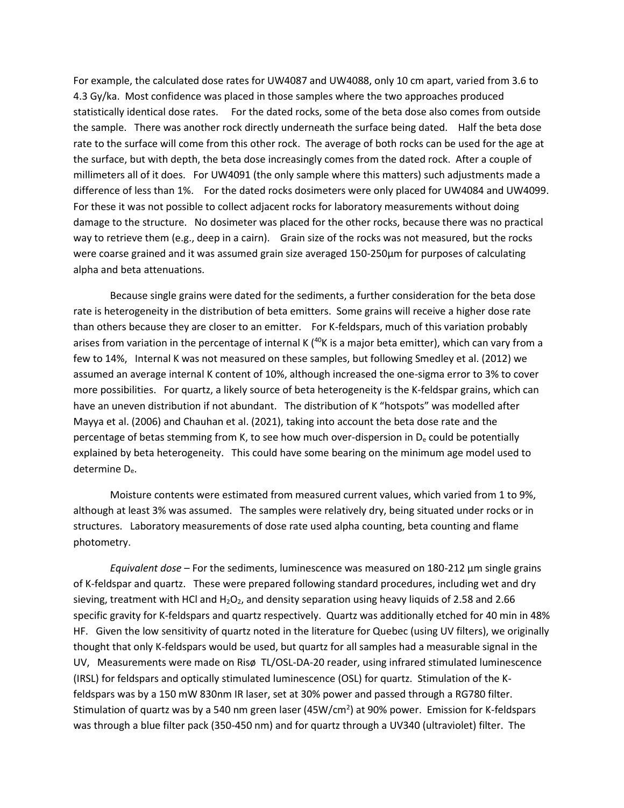For example, the calculated dose rates for UW4087 and UW4088, only 10 cm apart, varied from 3.6 to 4.3 Gy/ka. Most confidence was placed in those samples where the two approaches produced statistically identical dose rates. For the dated rocks, some of the beta dose also comes from outside the sample. There was another rock directly underneath the surface being dated. Half the beta dose rate to the surface will come from this other rock. The average of both rocks can be used for the age at the surface, but with depth, the beta dose increasingly comes from the dated rock. After a couple of millimeters all of it does. For UW4091 (the only sample where this matters) such adjustments made a difference of less than 1%. For the dated rocks dosimeters were only placed for UW4084 and UW4099. For these it was not possible to collect adjacent rocks for laboratory measurements without doing damage to the structure. No dosimeter was placed for the other rocks, because there was no practical way to retrieve them (e.g., deep in a cairn). Grain size of the rocks was not measured, but the rocks were coarse grained and it was assumed grain size averaged 150-250µm for purposes of calculating alpha and beta attenuations.

Because single grains were dated for the sediments, a further consideration for the beta dose rate is heterogeneity in the distribution of beta emitters. Some grains will receive a higher dose rate than others because they are closer to an emitter. For K-feldspars, much of this variation probably arises from variation in the percentage of internal K  $(40K)$  is a major beta emitter), which can vary from a few to 14%, Internal K was not measured on these samples, but following Smedley et al. (2012) we assumed an average internal K content of 10%, although increased the one-sigma error to 3% to cover more possibilities. For quartz, a likely source of beta heterogeneity is the K-feldspar grains, which can have an uneven distribution if not abundant. The distribution of K "hotspots" was modelled after Mayya et al. (2006) and Chauhan et al. (2021), taking into account the beta dose rate and the percentage of betas stemming from K, to see how much over-dispersion in D<sup>e</sup> could be potentially explained by beta heterogeneity. This could have some bearing on the minimum age model used to determine De.

Moisture contents were estimated from measured current values, which varied from 1 to 9%, although at least 3% was assumed. The samples were relatively dry, being situated under rocks or in structures. Laboratory measurements of dose rate used alpha counting, beta counting and flame photometry.

*Equivalent dose* – For the sediments, luminescence was measured on 180-212 µm single grains of K-feldspar and quartz. These were prepared following standard procedures, including wet and dry sieving, treatment with HCl and  $H_2O_2$ , and density separation using heavy liquids of 2.58 and 2.66 specific gravity for K-feldspars and quartz respectively. Quartz was additionally etched for 40 min in 48% HF. Given the low sensitivity of quartz noted in the literature for Quebec (using UV filters), we originally thought that only K-feldspars would be used, but quartz for all samples had a measurable signal in the UV, Measurements were made on Risø TL/OSL-DA-20 reader, using infrared stimulated luminescence (IRSL) for feldspars and optically stimulated luminescence (OSL) for quartz. Stimulation of the Kfeldspars was by a 150 mW 830nm IR laser, set at 30% power and passed through a RG780 filter. Stimulation of quartz was by a 540 nm green laser (45W/cm<sup>2</sup>) at 90% power. Emission for K-feldspars was through a blue filter pack (350-450 nm) and for quartz through a UV340 (ultraviolet) filter. The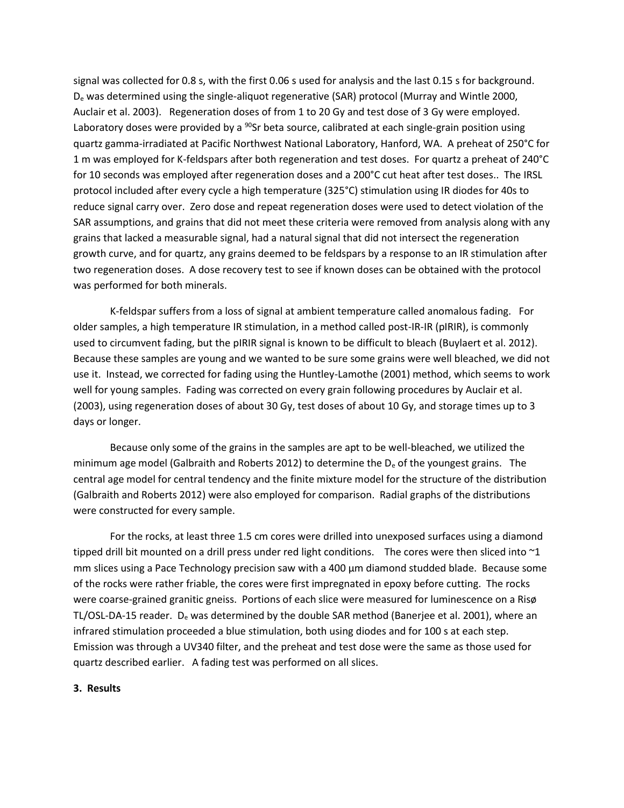signal was collected for 0.8 s, with the first 0.06 s used for analysis and the last 0.15 s for background. D<sup>e</sup> was determined using the single-aliquot regenerative (SAR) protocol (Murray and Wintle 2000, Auclair et al. 2003). Regeneration doses of from 1 to 20 Gy and test dose of 3 Gy were employed. Laboratory doses were provided by a <sup>90</sup>Sr beta source, calibrated at each single-grain position using quartz gamma-irradiated at Pacific Northwest National Laboratory, Hanford, WA. A preheat of 250°C for 1 m was employed for K-feldspars after both regeneration and test doses. For quartz a preheat of 240°C for 10 seconds was employed after regeneration doses and a 200°C cut heat after test doses.. The IRSL protocol included after every cycle a high temperature (325°C) stimulation using IR diodes for 40s to reduce signal carry over. Zero dose and repeat regeneration doses were used to detect violation of the SAR assumptions, and grains that did not meet these criteria were removed from analysis along with any grains that lacked a measurable signal, had a natural signal that did not intersect the regeneration growth curve, and for quartz, any grains deemed to be feldspars by a response to an IR stimulation after two regeneration doses. A dose recovery test to see if known doses can be obtained with the protocol was performed for both minerals.

K-feldspar suffers from a loss of signal at ambient temperature called anomalous fading. For older samples, a high temperature IR stimulation, in a method called post-IR-IR (pIRIR), is commonly used to circumvent fading, but the pIRIR signal is known to be difficult to bleach (Buylaert et al. 2012). Because these samples are young and we wanted to be sure some grains were well bleached, we did not use it. Instead, we corrected for fading using the Huntley-Lamothe (2001) method, which seems to work well for young samples. Fading was corrected on every grain following procedures by Auclair et al. (2003), using regeneration doses of about 30 Gy, test doses of about 10 Gy, and storage times up to 3 days or longer.

Because only some of the grains in the samples are apt to be well-bleached, we utilized the minimum age model (Galbraith and Roberts 2012) to determine the  $D<sub>e</sub>$  of the youngest grains. The central age model for central tendency and the finite mixture model for the structure of the distribution (Galbraith and Roberts 2012) were also employed for comparison. Radial graphs of the distributions were constructed for every sample.

For the rocks, at least three 1.5 cm cores were drilled into unexposed surfaces using a diamond tipped drill bit mounted on a drill press under red light conditions. The cores were then sliced into ~1 mm slices using a Pace Technology precision saw with a 400 µm diamond studded blade. Because some of the rocks were rather friable, the cores were first impregnated in epoxy before cutting. The rocks were coarse-grained granitic gneiss. Portions of each slice were measured for luminescence on a Risø TL/OSL-DA-15 reader. D<sup>e</sup> was determined by the double SAR method (Banerjee et al. 2001), where an infrared stimulation proceeded a blue stimulation, both using diodes and for 100 s at each step. Emission was through a UV340 filter, and the preheat and test dose were the same as those used for quartz described earlier. A fading test was performed on all slices.

## **3. Results**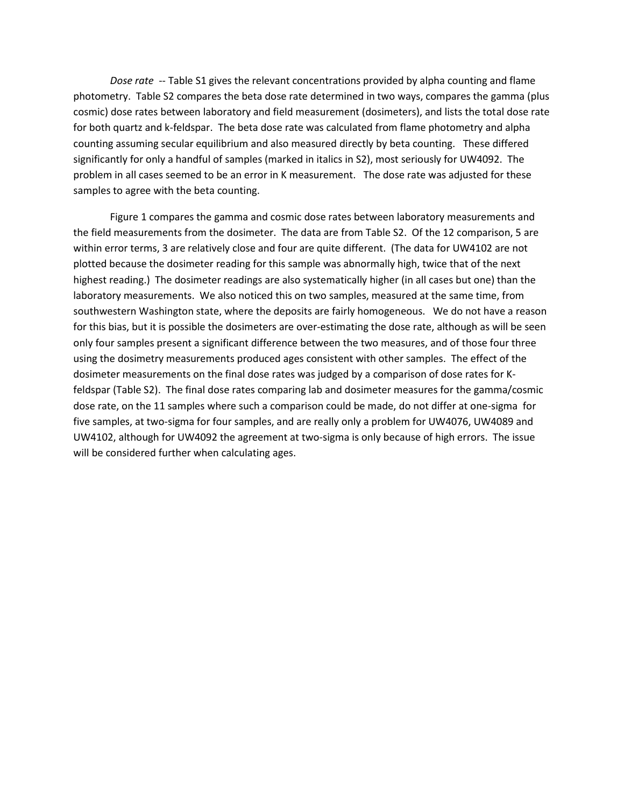*Dose rate* -- Table S1 gives the relevant concentrations provided by alpha counting and flame photometry. Table S2 compares the beta dose rate determined in two ways, compares the gamma (plus cosmic) dose rates between laboratory and field measurement (dosimeters), and lists the total dose rate for both quartz and k-feldspar. The beta dose rate was calculated from flame photometry and alpha counting assuming secular equilibrium and also measured directly by beta counting. These differed significantly for only a handful of samples (marked in italics in S2), most seriously for UW4092. The problem in all cases seemed to be an error in K measurement. The dose rate was adjusted for these samples to agree with the beta counting.

Figure 1 compares the gamma and cosmic dose rates between laboratory measurements and the field measurements from the dosimeter. The data are from Table S2. Of the 12 comparison, 5 are within error terms, 3 are relatively close and four are quite different. (The data for UW4102 are not plotted because the dosimeter reading for this sample was abnormally high, twice that of the next highest reading.) The dosimeter readings are also systematically higher (in all cases but one) than the laboratory measurements. We also noticed this on two samples, measured at the same time, from southwestern Washington state, where the deposits are fairly homogeneous. We do not have a reason for this bias, but it is possible the dosimeters are over-estimating the dose rate, although as will be seen only four samples present a significant difference between the two measures, and of those four three using the dosimetry measurements produced ages consistent with other samples. The effect of the dosimeter measurements on the final dose rates was judged by a comparison of dose rates for Kfeldspar (Table S2). The final dose rates comparing lab and dosimeter measures for the gamma/cosmic dose rate, on the 11 samples where such a comparison could be made, do not differ at one-sigma for five samples, at two-sigma for four samples, and are really only a problem for UW4076, UW4089 and UW4102, although for UW4092 the agreement at two-sigma is only because of high errors. The issue will be considered further when calculating ages.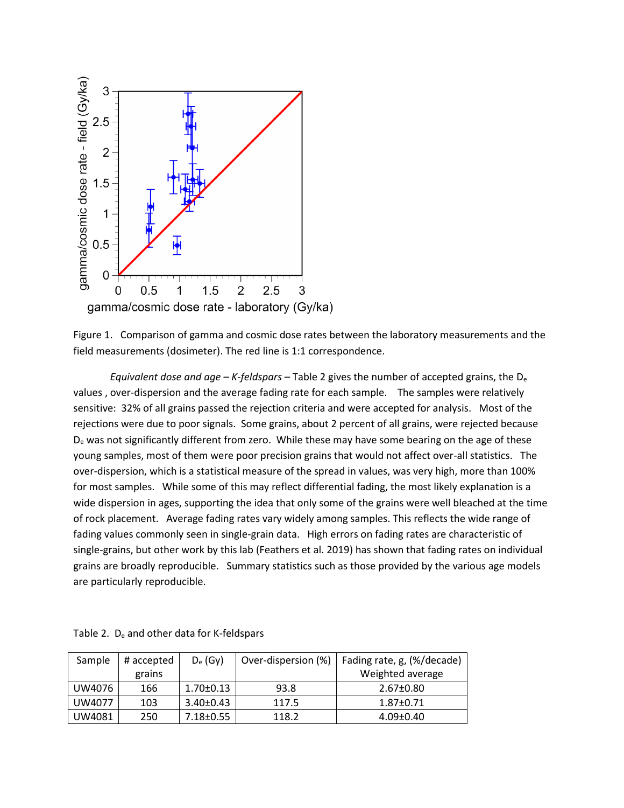

Figure 1. Comparison of gamma and cosmic dose rates between the laboratory measurements and the field measurements (dosimeter). The red line is 1:1 correspondence.

*Equivalent dose and age – K-feldspars* – Table 2 gives the number of accepted grains, the D<sup>e</sup> values , over-dispersion and the average fading rate for each sample. The samples were relatively sensitive: 32% of all grains passed the rejection criteria and were accepted for analysis. Most of the rejections were due to poor signals. Some grains, about 2 percent of all grains, were rejected because D<sub>e</sub> was not significantly different from zero. While these may have some bearing on the age of these young samples, most of them were poor precision grains that would not affect over-all statistics. The over-dispersion, which is a statistical measure of the spread in values, was very high, more than 100% for most samples. While some of this may reflect differential fading, the most likely explanation is a wide dispersion in ages, supporting the idea that only some of the grains were well bleached at the time of rock placement. Average fading rates vary widely among samples. This reflects the wide range of fading values commonly seen in single-grain data. High errors on fading rates are characteristic of single-grains, but other work by this lab (Feathers et al. 2019) has shown that fading rates on individual grains are broadly reproducible. Summary statistics such as those provided by the various age models are particularly reproducible.

| Sample | # accepted | $D_e$ (Gy)      | Over-dispersion (%) | Fading rate, g, (%/decade) |
|--------|------------|-----------------|---------------------|----------------------------|
|        | grains     |                 |                     | Weighted average           |
| UW4076 | 166        | $1.70 \pm 0.13$ | 93.8                | $2.67 \pm 0.80$            |
| UW4077 | 103        | $3.40 \pm 0.43$ | 117.5               | $1.87 \pm 0.71$            |
| UW4081 | 250        | $7.18 \pm 0.55$ | 118.2               | $4.09 \pm 0.40$            |

Table 2. De and other data for K-feldspars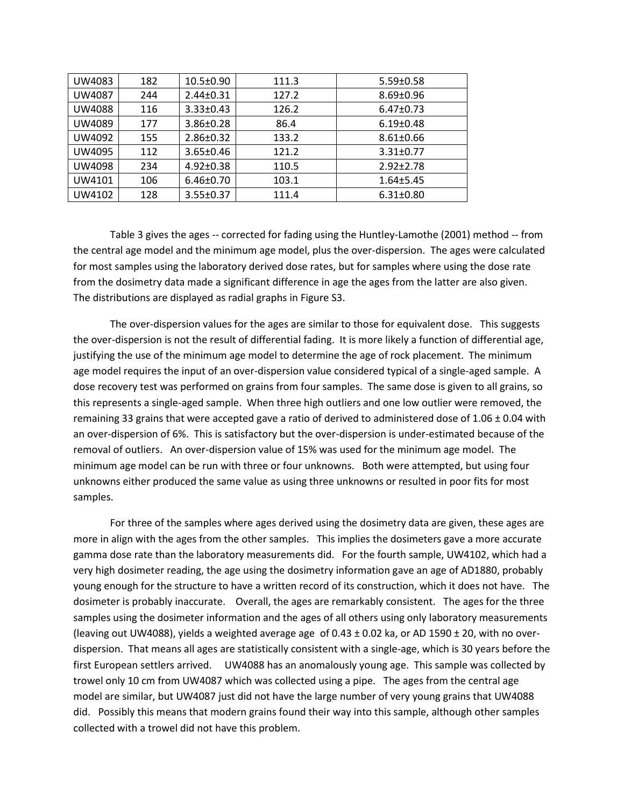| UW4083 | 182 | $10.5 \pm 0.90$ | 111.3 | $5.59 \pm 0.58$ |
|--------|-----|-----------------|-------|-----------------|
| UW4087 | 244 | $2.44 \pm 0.31$ | 127.2 | $8.69 \pm 0.96$ |
| UW4088 | 116 | $3.33 \pm 0.43$ | 126.2 | $6.47 \pm 0.73$ |
| UW4089 | 177 | $3.86 \pm 0.28$ | 86.4  | $6.19 \pm 0.48$ |
| UW4092 | 155 | $2.86 \pm 0.32$ | 133.2 | $8.61 \pm 0.66$ |
| UW4095 | 112 | $3.65 \pm 0.46$ | 121.2 | $3.31 \pm 0.77$ |
| UW4098 | 234 | $4.92 \pm 0.38$ | 110.5 | $2.92 \pm 2.78$ |
| UW4101 | 106 | $6.46 \pm 0.70$ | 103.1 | $1.64 \pm 5.45$ |
| UW4102 | 128 | $3.55 \pm 0.37$ | 111.4 | $6.31 \pm 0.80$ |

Table 3 gives the ages -- corrected for fading using the Huntley-Lamothe (2001) method -- from the central age model and the minimum age model, plus the over-dispersion. The ages were calculated for most samples using the laboratory derived dose rates, but for samples where using the dose rate from the dosimetry data made a significant difference in age the ages from the latter are also given. The distributions are displayed as radial graphs in Figure S3.

The over-dispersion values for the ages are similar to those for equivalent dose. This suggests the over-dispersion is not the result of differential fading. It is more likely a function of differential age, justifying the use of the minimum age model to determine the age of rock placement. The minimum age model requires the input of an over-dispersion value considered typical of a single-aged sample. A dose recovery test was performed on grains from four samples. The same dose is given to all grains, so this represents a single-aged sample. When three high outliers and one low outlier were removed, the remaining 33 grains that were accepted gave a ratio of derived to administered dose of 1.06 ± 0.04 with an over-dispersion of 6%. This is satisfactory but the over-dispersion is under-estimated because of the removal of outliers. An over-dispersion value of 15% was used for the minimum age model. The minimum age model can be run with three or four unknowns. Both were attempted, but using four unknowns either produced the same value as using three unknowns or resulted in poor fits for most samples.

For three of the samples where ages derived using the dosimetry data are given, these ages are more in align with the ages from the other samples. This implies the dosimeters gave a more accurate gamma dose rate than the laboratory measurements did. For the fourth sample, UW4102, which had a very high dosimeter reading, the age using the dosimetry information gave an age of AD1880, probably young enough for the structure to have a written record of its construction, which it does not have. The dosimeter is probably inaccurate. Overall, the ages are remarkably consistent. The ages for the three samples using the dosimeter information and the ages of all others using only laboratory measurements (leaving out UW4088), yields a weighted average age of 0.43 ± 0.02 ka, or AD 1590 ± 20, with no overdispersion. That means all ages are statistically consistent with a single-age, which is 30 years before the first European settlers arrived. UW4088 has an anomalously young age. This sample was collected by trowel only 10 cm from UW4087 which was collected using a pipe. The ages from the central age model are similar, but UW4087 just did not have the large number of very young grains that UW4088 did. Possibly this means that modern grains found their way into this sample, although other samples collected with a trowel did not have this problem.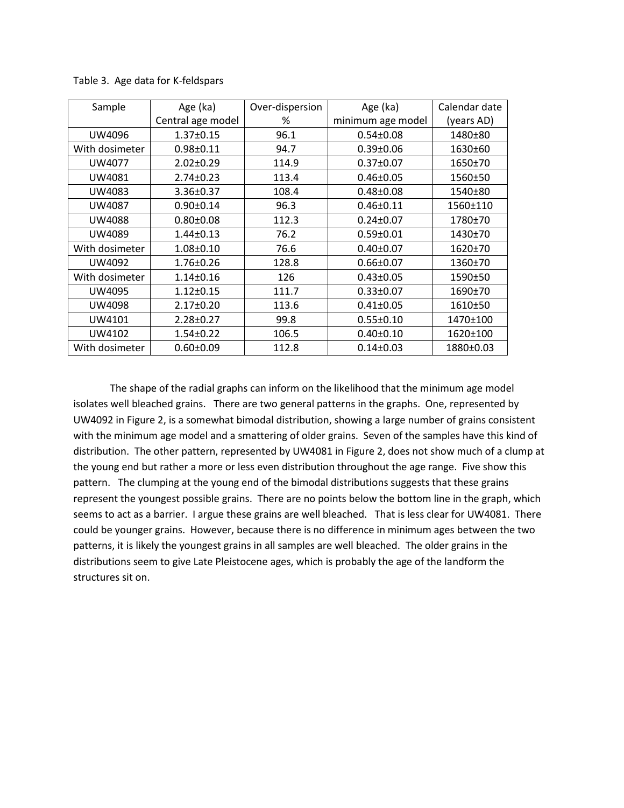| Sample         | Age (ka)          | Over-dispersion | Age (ka)          | Calendar date |
|----------------|-------------------|-----------------|-------------------|---------------|
|                | Central age model | %               | minimum age model | (years AD)    |
| UW4096         | $1.37 \pm 0.15$   | 96.1            | $0.54 \pm 0.08$   | 1480±80       |
| With dosimeter | $0.98 + 0.11$     | 94.7            | $0.39 \pm 0.06$   | 1630±60       |
| UW4077         | $2.02 \pm 0.29$   | 114.9           | $0.37 \pm 0.07$   | 1650±70       |
| UW4081         | 2.74±0.23         | 113.4           | $0.46 \pm 0.05$   | 1560±50       |
| UW4083         | 3.36±0.37         | 108.4           | $0.48 \pm 0.08$   | 1540±80       |
| <b>UW4087</b>  | $0.90 \pm 0.14$   | 96.3            | $0.46 \pm 0.11$   | 1560±110      |
| <b>UW4088</b>  | $0.80 \pm 0.08$   | 112.3           | $0.24 \pm 0.07$   | 1780±70       |
| UW4089         | $1.44 \pm 0.13$   | 76.2            | $0.59 \pm 0.01$   | 1430±70       |
| With dosimeter | $1.08 \pm 0.10$   | 76.6            | $0.40 \pm 0.07$   | 1620±70       |
| UW4092         | 1.76±0.26         | 128.8           | $0.66 \pm 0.07$   | 1360±70       |
| With dosimeter | $1.14 \pm 0.16$   | 126             | $0.43 \pm 0.05$   | 1590±50       |
| UW4095         | $1.12 \pm 0.15$   | 111.7           | $0.33 \pm 0.07$   | 1690±70       |
| <b>UW4098</b>  | 2.17±0.20         | 113.6           | $0.41 \pm 0.05$   | 1610±50       |
| UW4101         | 2.28±0.27         | 99.8            | $0.55 \pm 0.10$   | 1470±100      |
| UW4102         | $1.54 \pm 0.22$   | 106.5           | $0.40 \pm 0.10$   | 1620±100      |
| With dosimeter | $0.60 \pm 0.09$   | 112.8           | $0.14 \pm 0.03$   | 1880±0.03     |

Table 3. Age data for K-feldspars

The shape of the radial graphs can inform on the likelihood that the minimum age model isolates well bleached grains. There are two general patterns in the graphs. One, represented by UW4092 in Figure 2, is a somewhat bimodal distribution, showing a large number of grains consistent with the minimum age model and a smattering of older grains. Seven of the samples have this kind of distribution. The other pattern, represented by UW4081 in Figure 2, does not show much of a clump at the young end but rather a more or less even distribution throughout the age range. Five show this pattern. The clumping at the young end of the bimodal distributions suggests that these grains represent the youngest possible grains. There are no points below the bottom line in the graph, which seems to act as a barrier. I argue these grains are well bleached. That is less clear for UW4081. There could be younger grains. However, because there is no difference in minimum ages between the two patterns, it is likely the youngest grains in all samples are well bleached. The older grains in the distributions seem to give Late Pleistocene ages, which is probably the age of the landform the structures sit on.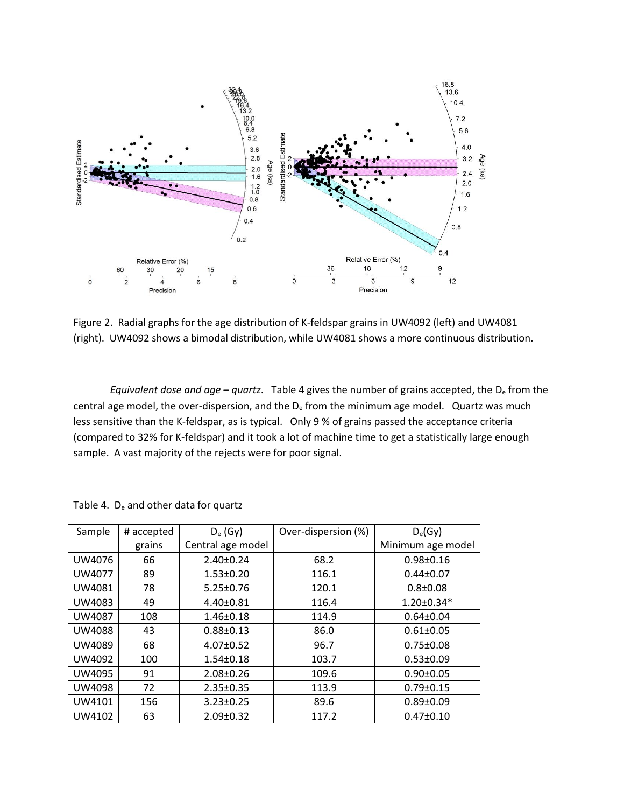

Figure 2. Radial graphs for the age distribution of K-feldspar grains in UW4092 (left) and UW4081 (right). UW4092 shows a bimodal distribution, while UW4081 shows a more continuous distribution.

*Equivalent dose and age – quartz*. Table 4 gives the number of grains accepted, the D<sup>e</sup> from the central age model, the over-dispersion, and the  $D<sub>e</sub>$  from the minimum age model. Quartz was much less sensitive than the K-feldspar, as is typical. Only 9 % of grains passed the acceptance criteria (compared to 32% for K-feldspar) and it took a lot of machine time to get a statistically large enough sample. A vast majority of the rejects were for poor signal.

| Sample | # accepted | $D_e$ (Gy)        | Over-dispersion (%) | $D_e(Gy)$         |
|--------|------------|-------------------|---------------------|-------------------|
|        | grains     | Central age model |                     | Minimum age model |
| UW4076 | 66         | $2.40 \pm 0.24$   | 68.2                | $0.98 \pm 0.16$   |
| UW4077 | 89         | $1.53 \pm 0.20$   | 116.1               | $0.44 \pm 0.07$   |
| UW4081 | 78         | $5.25 \pm 0.76$   | 120.1               | $0.8 \pm 0.08$    |
| UW4083 | 49         | $4.40 \pm 0.81$   | 116.4               | $1.20 \pm 0.34*$  |
| UW4087 | 108        | $1.46 \pm 0.18$   | 114.9               | $0.64 \pm 0.04$   |
| UW4088 | 43         | $0.88 \pm 0.13$   | 86.0                | $0.61 \pm 0.05$   |
| UW4089 | 68         | $4.07 \pm 0.52$   | 96.7                | $0.75 \pm 0.08$   |
| UW4092 | 100        | $1.54 \pm 0.18$   | 103.7               | $0.53 \pm 0.09$   |
| UW4095 | 91         | $2.08 \pm 0.26$   | 109.6               | $0.90 \pm 0.05$   |
| UW4098 | 72         | $2.35 \pm 0.35$   | 113.9               | $0.79 \pm 0.15$   |
| UW4101 | 156        | $3.23 \pm 0.25$   | 89.6                | $0.89 \pm 0.09$   |
| UW4102 | 63         | $2.09 \pm 0.32$   | 117.2               | $0.47 \pm 0.10$   |

Table 4. De and other data for quartz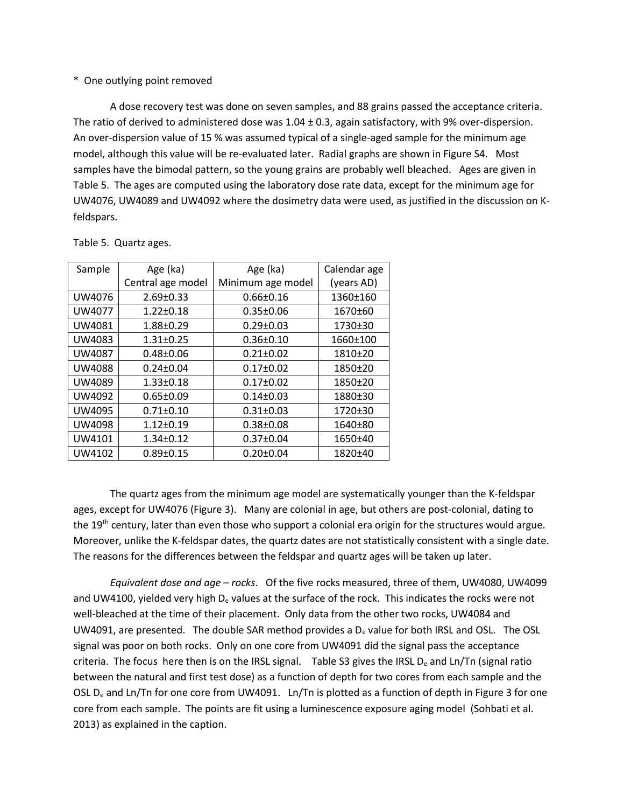# \* One outlying point removed

A dose recovery test was done on seven samples, and 88 grains passed the acceptance criteria. The ratio of derived to administered dose was  $1.04 \pm 0.3$ , again satisfactory, with 9% over-dispersion. An over-dispersion value of 15 % was assumed typical of a single-aged sample for the minimum age model, although this value will be re-evaluated later. Radial graphs are shown in Figure S4. Most samples have the bimodal pattern, so the young grains are probably well bleached. Ages are given in Table 5. The ages are computed using the laboratory dose rate data, except for the minimum age for UW4076, UW4089 and UW4092 where the dosimetry data were used, as justified in the discussion on Kfeldspars.

| Sample        | Age (ka)          | Age (ka)          | Calendar age |
|---------------|-------------------|-------------------|--------------|
|               | Central age model | Minimum age model | (years AD)   |
| UW4076        | $2.69 \pm 0.33$   | $0.66 \pm 0.16$   | 1360±160     |
| UW4077        | $1.22 \pm 0.18$   | $0.35 \pm 0.06$   | 1670±60      |
| UW4081        | 1.88±0.29         | $0.29 \pm 0.03$   | 1730±30      |
| UW4083        | $1.31 \pm 0.25$   | $0.36 \pm 0.10$   | 1660±100     |
| UW4087        | $0.48 \pm 0.06$   | $0.21 \pm 0.02$   | 1810±20      |
| <b>UW4088</b> | $0.24 \pm 0.04$   | $0.17 \pm 0.02$   | 1850±20      |
| UW4089        | $1.33 \pm 0.18$   | $0.17 \pm 0.02$   | 1850±20      |
| UW4092        | $0.65 \pm 0.09$   | $0.14 \pm 0.03$   | 1880±30      |
| UW4095        | $0.71 \pm 0.10$   | $0.31 \pm 0.03$   | 1720±30      |
| UW4098        | $1.12 \pm 0.19$   | $0.38 + 0.08$     | 1640±80      |
| UW4101        | $1.34 \pm 0.12$   | $0.37 \pm 0.04$   | 1650±40      |
| UW4102        | $0.89 \pm 0.15$   | $0.20 \pm 0.04$   | 1820±40      |

Table 5. Quartz ages.

The quartz ages from the minimum age model are systematically younger than the K-feldspar ages, except for UW4076 (Figure 3). Many are colonial in age, but others are post-colonial, dating to the 19<sup>th</sup> century, later than even those who support a colonial era origin for the structures would argue. Moreover, unlike the K-feldspar dates, the quartz dates are not statistically consistent with a single date. The reasons for the differences between the feldspar and quartz ages will be taken up later.

*Equivalent dose and age – rocks*. Of the five rocks measured, three of them, UW4080, UW4099 and UW4100, yielded very high  $D<sub>e</sub>$  values at the surface of the rock. This indicates the rocks were not well-bleached at the time of their placement. Only data from the other two rocks, UW4084 and UW4091, are presented. The double SAR method provides a  $D<sub>e</sub>$  value for both IRSL and OSL. The OSL signal was poor on both rocks. Only on one core from UW4091 did the signal pass the acceptance criteria. The focus here then is on the IRSL signal. Table S3 gives the IRSL  $D_e$  and Ln/Tn (signal ratio between the natural and first test dose) as a function of depth for two cores from each sample and the OSL D<sub>e</sub> and Ln/Tn for one core from UW4091. Ln/Tn is plotted as a function of depth in Figure 3 for one core from each sample. The points are fit using a luminescence exposure aging model (Sohbati et al. 2013) as explained in the caption.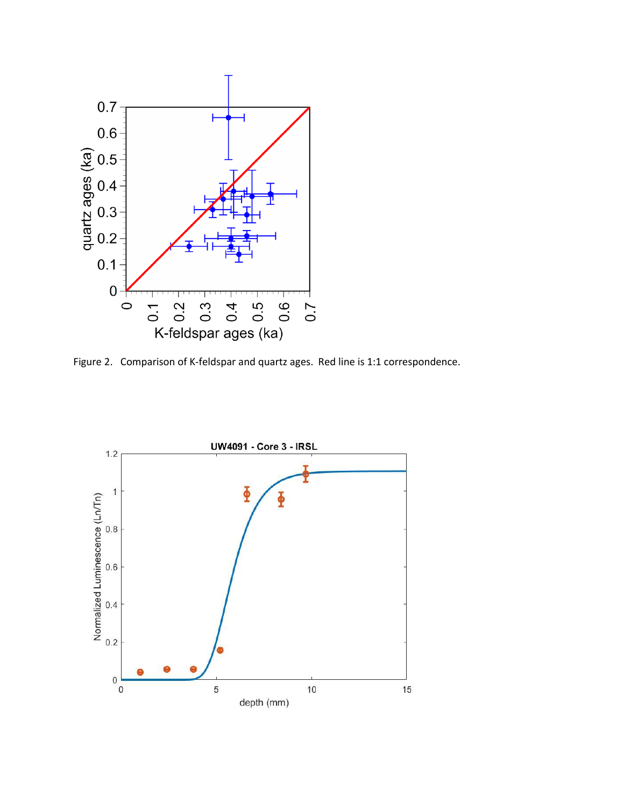

Figure 2. Comparison of K-feldspar and quartz ages. Red line is 1:1 correspondence.

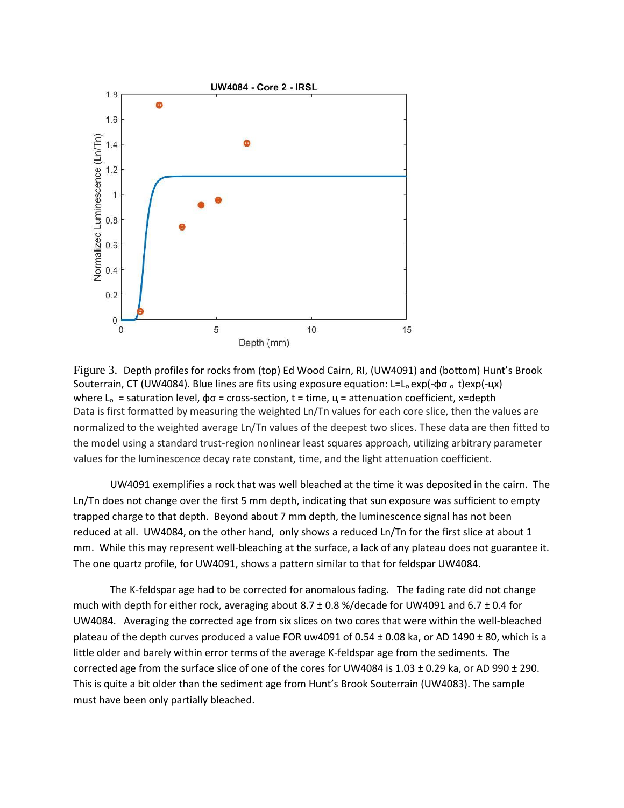

Figure 3. Depth profiles for rocks from (top) Ed Wood Cairn, RI, (UW4091) and (bottom) Hunt's Brook Souterrain, CT (UW4084). Blue lines are fits using exposure equation: L=L<sub>o</sub> exp(- $\phi \sigma$ <sub>o</sub> t)exp(- $\mu$ x) where  $L_0$  = saturation level,  $φσ$  = cross-section, t = time,  $µ$  = attenuation coefficient, x=depth Data is first formatted by measuring the weighted Ln/Tn values for each core slice, then the values are normalized to the weighted average Ln/Tn values of the deepest two slices. These data are then fitted to the model using a standard trust-region nonlinear least squares approach, utilizing arbitrary parameter values for the luminescence decay rate constant, time, and the light attenuation coefficient.

UW4091 exemplifies a rock that was well bleached at the time it was deposited in the cairn. The Ln/Tn does not change over the first 5 mm depth, indicating that sun exposure was sufficient to empty trapped charge to that depth. Beyond about 7 mm depth, the luminescence signal has not been reduced at all. UW4084, on the other hand, only shows a reduced Ln/Tn for the first slice at about 1 mm. While this may represent well-bleaching at the surface, a lack of any plateau does not guarantee it. The one quartz profile, for UW4091, shows a pattern similar to that for feldspar UW4084.

The K-feldspar age had to be corrected for anomalous fading. The fading rate did not change much with depth for either rock, averaging about 8.7 ± 0.8 %/decade for UW4091 and 6.7 ± 0.4 for UW4084. Averaging the corrected age from six slices on two cores that were within the well-bleached plateau of the depth curves produced a value FOR uw4091 of 0.54  $\pm$  0.08 ka, or AD 1490  $\pm$  80, which is a little older and barely within error terms of the average K-feldspar age from the sediments. The corrected age from the surface slice of one of the cores for UW4084 is  $1.03 \pm 0.29$  ka, or AD 990  $\pm$  290. This is quite a bit older than the sediment age from Hunt's Brook Souterrain (UW4083). The sample must have been only partially bleached.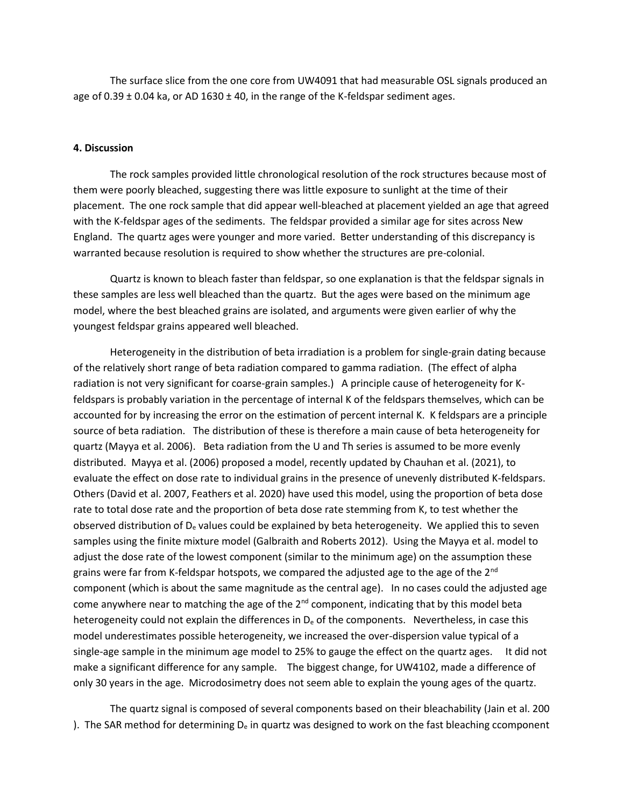The surface slice from the one core from UW4091 that had measurable OSL signals produced an age of 0.39  $\pm$  0.04 ka, or AD 1630  $\pm$  40, in the range of the K-feldspar sediment ages.

#### **4. Discussion**

The rock samples provided little chronological resolution of the rock structures because most of them were poorly bleached, suggesting there was little exposure to sunlight at the time of their placement. The one rock sample that did appear well-bleached at placement yielded an age that agreed with the K-feldspar ages of the sediments. The feldspar provided a similar age for sites across New England. The quartz ages were younger and more varied. Better understanding of this discrepancy is warranted because resolution is required to show whether the structures are pre-colonial.

Quartz is known to bleach faster than feldspar, so one explanation is that the feldspar signals in these samples are less well bleached than the quartz. But the ages were based on the minimum age model, where the best bleached grains are isolated, and arguments were given earlier of why the youngest feldspar grains appeared well bleached.

Heterogeneity in the distribution of beta irradiation is a problem for single-grain dating because of the relatively short range of beta radiation compared to gamma radiation. (The effect of alpha radiation is not very significant for coarse-grain samples.) A principle cause of heterogeneity for Kfeldspars is probably variation in the percentage of internal K of the feldspars themselves, which can be accounted for by increasing the error on the estimation of percent internal K. K feldspars are a principle source of beta radiation. The distribution of these is therefore a main cause of beta heterogeneity for quartz (Mayya et al. 2006). Beta radiation from the U and Th series is assumed to be more evenly distributed. Mayya et al. (2006) proposed a model, recently updated by Chauhan et al. (2021), to evaluate the effect on dose rate to individual grains in the presence of unevenly distributed K-feldspars. Others (David et al. 2007, Feathers et al. 2020) have used this model, using the proportion of beta dose rate to total dose rate and the proportion of beta dose rate stemming from K, to test whether the observed distribution of  $D_e$  values could be explained by beta heterogeneity. We applied this to seven samples using the finite mixture model (Galbraith and Roberts 2012). Using the Mayya et al. model to adjust the dose rate of the lowest component (similar to the minimum age) on the assumption these grains were far from K-feldspar hotspots, we compared the adjusted age to the age of the 2<sup>nd</sup> component (which is about the same magnitude as the central age). In no cases could the adjusted age come anywhere near to matching the age of the  $2<sup>nd</sup>$  component, indicating that by this model beta heterogeneity could not explain the differences in  $D_e$  of the components. Nevertheless, in case this model underestimates possible heterogeneity, we increased the over-dispersion value typical of a single-age sample in the minimum age model to 25% to gauge the effect on the quartz ages. It did not make a significant difference for any sample. The biggest change, for UW4102, made a difference of only 30 years in the age. Microdosimetry does not seem able to explain the young ages of the quartz.

The quartz signal is composed of several components based on their bleachability (Jain et al. 200 ). The SAR method for determining  $D_e$  in quartz was designed to work on the fast bleaching ccomponent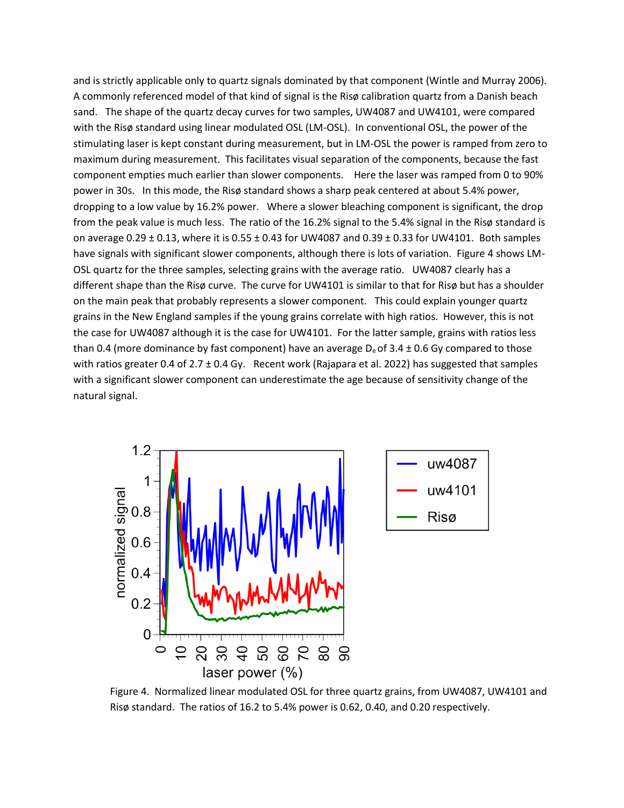and is strictly applicable only to quartz signals dominated by that component (Wintle and Murray 2006). A commonly referenced model of that kind of signal is the Risø calibration quartz from a Danish beach sand. The shape of the quartz decay curves for two samples, UW4087 and UW4101, were compared with the Risø standard using linear modulated OSL (LM-OSL). In conventional OSL, the power of the stimulating laser is kept constant during measurement, but in LM-OSL the power is ramped from zero to maximum during measurement. This facilitates visual separation of the components, because the fast component empties much earlier than slower components. Here the laser was ramped from 0 to 90% power in 30s. In this mode, the Risø standard shows a sharp peak centered at about 5.4% power, dropping to a low value by 16.2% power. Where a slower bleaching component is significant, the drop from the peak value is much less. The ratio of the 16.2% signal to the 5.4% signal in the Risø standard is on average 0.29  $\pm$  0.13, where it is 0.55  $\pm$  0.43 for UW4087 and 0.39  $\pm$  0.33 for UW4101. Both samples have signals with significant slower components, although there is lots of variation. Figure 4 shows LM-OSL quartz for the three samples, selecting grains with the average ratio. UW4087 clearly has a different shape than the Risø curve. The curve for UW4101 is similar to that for Risø but has a shoulder on the main peak that probably represents a slower component. This could explain younger quartz grains in the New England samples if the young grains correlate with high ratios. However, this is not the case for UW4087 although it is the case for UW4101. For the latter sample, grains with ratios less than 0.4 (more dominance by fast component) have an average  $D_e$  of 3.4  $\pm$  0.6 Gy compared to those with ratios greater 0.4 of 2.7 ± 0.4 Gy. Recent work (Rajapara et al. 2022) has suggested that samples with a significant slower component can underestimate the age because of sensitivity change of the natural signal.



Figure 4. Normalized linear modulated OSL for three quartz grains, from UW4087, UW4101 and Risø standard. The ratios of 16.2 to 5.4% power is 0.62, 0.40, and 0.20 respectively.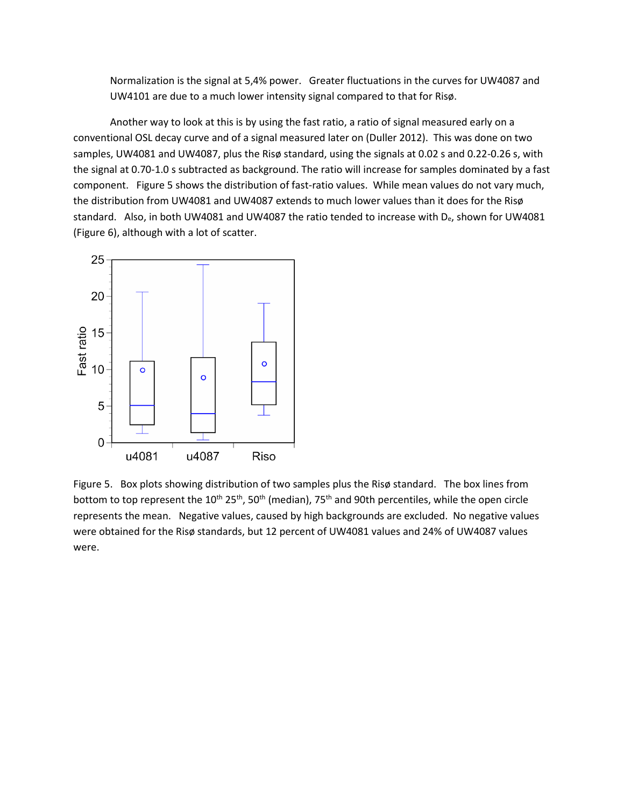Normalization is the signal at 5,4% power. Greater fluctuations in the curves for UW4087 and UW4101 are due to a much lower intensity signal compared to that for Risø.

Another way to look at this is by using the fast ratio, a ratio of signal measured early on a conventional OSL decay curve and of a signal measured later on (Duller 2012). This was done on two samples, UW4081 and UW4087, plus the Risø standard, using the signals at 0.02 s and 0.22-0.26 s, with the signal at 0.70-1.0 s subtracted as background. The ratio will increase for samples dominated by a fast component. Figure 5 shows the distribution of fast-ratio values. While mean values do not vary much, the distribution from UW4081 and UW4087 extends to much lower values than it does for the Risø standard. Also, in both UW4081 and UW4087 the ratio tended to increase with De, shown for UW4081 (Figure 6), although with a lot of scatter.



Figure 5. Box plots showing distribution of two samples plus the Risø standard. The box lines from bottom to top represent the 10<sup>th</sup> 25<sup>th</sup>, 50<sup>th</sup> (median), 75<sup>th</sup> and 90th percentiles, while the open circle represents the mean. Negative values, caused by high backgrounds are excluded. No negative values were obtained for the Risø standards, but 12 percent of UW4081 values and 24% of UW4087 values were.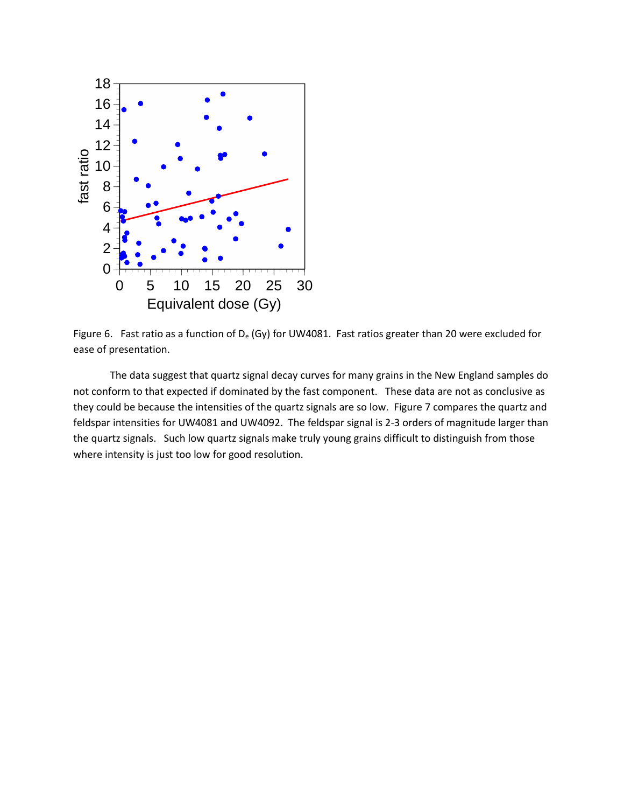

Figure 6. Fast ratio as a function of  $D_e$  (Gy) for UW4081. Fast ratios greater than 20 were excluded for ease of presentation.

The data suggest that quartz signal decay curves for many grains in the New England samples do not conform to that expected if dominated by the fast component. These data are not as conclusive as they could be because the intensities of the quartz signals are so low. Figure 7 compares the quartz and feldspar intensities for UW4081 and UW4092. The feldspar signal is 2-3 orders of magnitude larger than the quartz signals. Such low quartz signals make truly young grains difficult to distinguish from those where intensity is just too low for good resolution.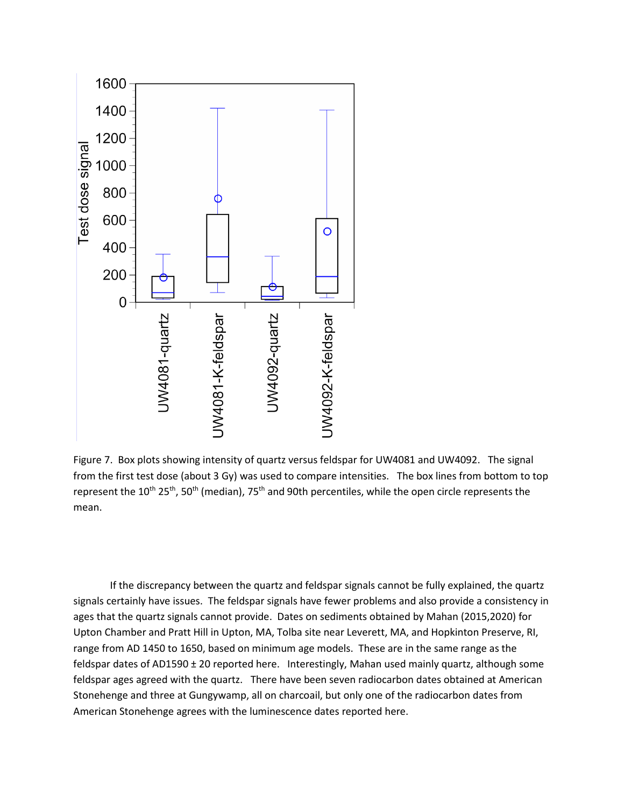

Figure 7. Box plots showing intensity of quartz versus feldspar for UW4081 and UW4092. The signal from the first test dose (about 3 Gy) was used to compare intensities. The box lines from bottom to top represent the 10<sup>th</sup> 25<sup>th</sup>, 50<sup>th</sup> (median), 75<sup>th</sup> and 90th percentiles, while the open circle represents the mean.

If the discrepancy between the quartz and feldspar signals cannot be fully explained, the quartz signals certainly have issues. The feldspar signals have fewer problems and also provide a consistency in ages that the quartz signals cannot provide. Dates on sediments obtained by Mahan (2015,2020) for Upton Chamber and Pratt Hill in Upton, MA, Tolba site near Leverett, MA, and Hopkinton Preserve, RI, range from AD 1450 to 1650, based on minimum age models. These are in the same range as the feldspar dates of AD1590 ± 20 reported here. Interestingly, Mahan used mainly quartz, although some feldspar ages agreed with the quartz. There have been seven radiocarbon dates obtained at American Stonehenge and three at Gungywamp, all on charcoail, but only one of the radiocarbon dates from American Stonehenge agrees with the luminescence dates reported here.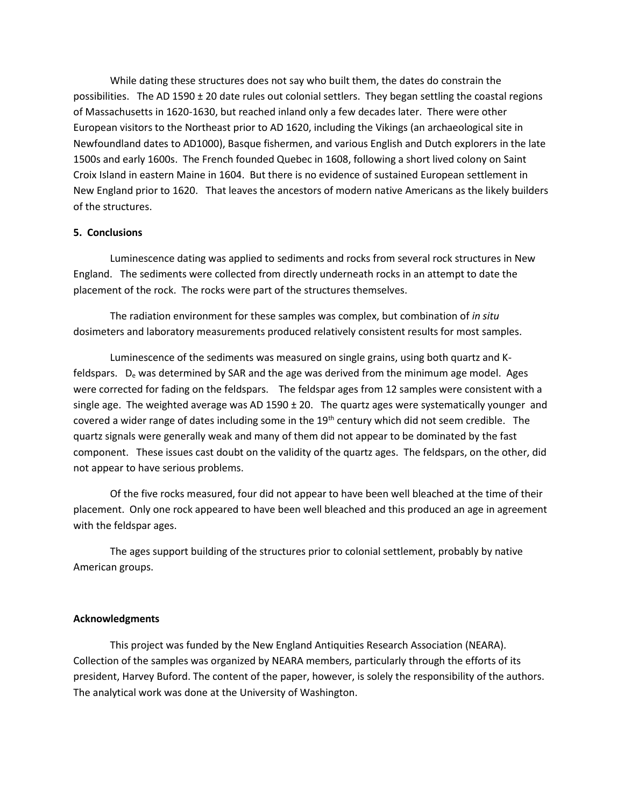While dating these structures does not say who built them, the dates do constrain the possibilities. The AD 1590 ± 20 date rules out colonial settlers. They began settling the coastal regions of Massachusetts in 1620-1630, but reached inland only a few decades later. There were other European visitors to the Northeast prior to AD 1620, including the Vikings (an archaeological site in Newfoundland dates to AD1000), Basque fishermen, and various English and Dutch explorers in the late 1500s and early 1600s. The French founded Quebec in 1608, following a short lived colony on Saint Croix Island in eastern Maine in 1604. But there is no evidence of sustained European settlement in New England prior to 1620. That leaves the ancestors of modern native Americans as the likely builders of the structures.

## **5. Conclusions**

Luminescence dating was applied to sediments and rocks from several rock structures in New England. The sediments were collected from directly underneath rocks in an attempt to date the placement of the rock. The rocks were part of the structures themselves.

The radiation environment for these samples was complex, but combination of *in situ* dosimeters and laboratory measurements produced relatively consistent results for most samples.

Luminescence of the sediments was measured on single grains, using both quartz and Kfeldspars. D<sub>e</sub> was determined by SAR and the age was derived from the minimum age model. Ages were corrected for fading on the feldspars. The feldspar ages from 12 samples were consistent with a single age. The weighted average was AD 1590  $\pm$  20. The quartz ages were systematically younger and covered a wider range of dates including some in the 19<sup>th</sup> century which did not seem credible. The quartz signals were generally weak and many of them did not appear to be dominated by the fast component. These issues cast doubt on the validity of the quartz ages. The feldspars, on the other, did not appear to have serious problems.

Of the five rocks measured, four did not appear to have been well bleached at the time of their placement. Only one rock appeared to have been well bleached and this produced an age in agreement with the feldspar ages.

The ages support building of the structures prior to colonial settlement, probably by native American groups.

## **Acknowledgments**

This project was funded by the New England Antiquities Research Association (NEARA). Collection of the samples was organized by NEARA members, particularly through the efforts of its president, Harvey Buford. The content of the paper, however, is solely the responsibility of the authors. The analytical work was done at the University of Washington.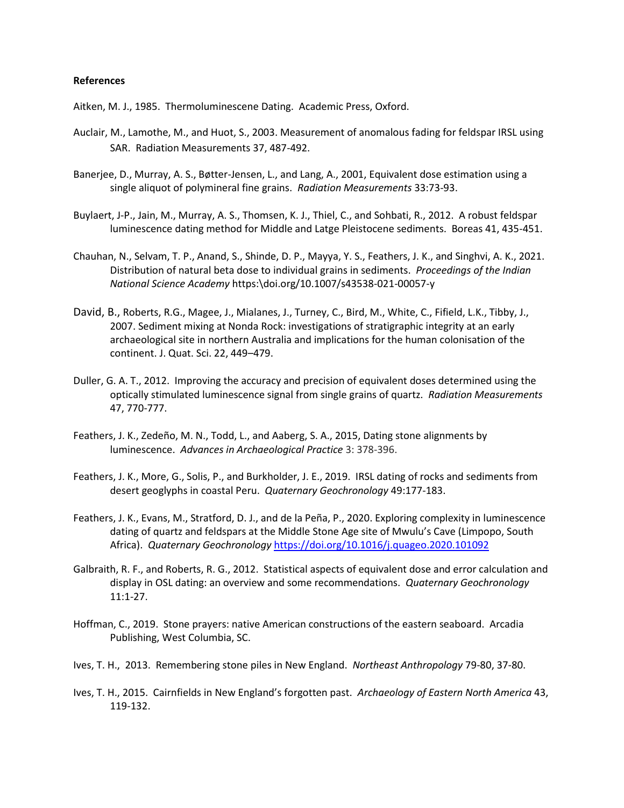#### **References**

Aitken, M. J., 1985. Thermoluminescene Dating. Academic Press, Oxford.

- Auclair, M., Lamothe, M., and Huot, S., 2003. Measurement of anomalous fading for feldspar IRSL using SAR. Radiation Measurements 37, 487-492.
- Banerjee, D., Murray, A. S., Bøtter-Jensen, L., and Lang, A., 2001, Equivalent dose estimation using a single aliquot of polymineral fine grains. *Radiation Measurements* 33:73-93.
- Buylaert, J-P., Jain, M., Murray, A. S., Thomsen, K. J., Thiel, C., and Sohbati, R., 2012. A robust feldspar luminescence dating method for Middle and Latge Pleistocene sediments. Boreas 41, 435-451.
- Chauhan, N., Selvam, T. P., Anand, S., Shinde, D. P., Mayya, Y. S., Feathers, J. K., and Singhvi, A. K., 2021. Distribution of natural beta dose to individual grains in sediments. *Proceedings of the Indian National Science Academy* https:\doi.org/10.1007/s43538-021-00057-y
- David, B., Roberts, R.G., Magee, J., Mialanes, J., Turney, C., Bird, M., White, C., Fifield, L.K., Tibby, J., 2007. Sediment mixing at Nonda Rock: investigations of stratigraphic integrity at an early archaeological site in northern Australia and implications for the human colonisation of the continent. J. Quat. Sci. 22, 449–479.
- Duller, G. A. T., 2012. Improving the accuracy and precision of equivalent doses determined using the optically stimulated luminescence signal from single grains of quartz. *Radiation Measurements* 47, 770-777.
- Feathers, J. K., Zedeño, M. N., Todd, L., and Aaberg, S. A., 2015, Dating stone alignments by luminescence. *Advances in Archaeological Practice* 3: 378-396.
- Feathers, J. K., More, G., Solis, P., and Burkholder, J. E., 2019. IRSL dating of rocks and sediments from desert geoglyphs in coastal Peru. *Quaternary Geochronology* 49:177-183.
- Feathers, J. K., Evans, M., Stratford, D. J., and de la Peña, P., 2020. Exploring complexity in luminescence dating of quartz and feldspars at the Middle Stone Age site of Mwulu's Cave (Limpopo, South Africa). *Quaternary Geochronology* <https://doi.org/10.1016/j.quageo.2020.101092>
- Galbraith, R. F., and Roberts, R. G., 2012. Statistical aspects of equivalent dose and error calculation and display in OSL dating: an overview and some recommendations. *Quaternary Geochronology* 11:1-27.
- Hoffman, C., 2019. Stone prayers: native American constructions of the eastern seaboard. Arcadia Publishing, West Columbia, SC.
- Ives, T. H., 2013. Remembering stone piles in New England. *Northeast Anthropology* 79-80, 37-80.
- Ives, T. H., 2015. Cairnfields in New England's forgotten past. *Archaeology of Eastern North America* 43, 119-132.